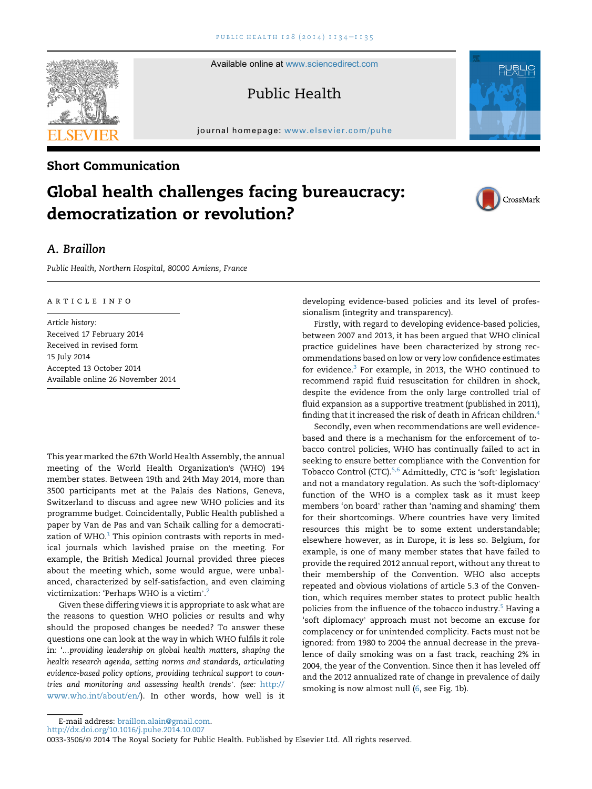Available online at [www.sciencedirect.com](www.sciencedirect.com/science/journal/00333506)

Public Health

journal homepage: <www.elsevier.com/puhe>

## Short Communication

# Global health challenges facing bureaucracy: democratization or revolution?

# A. Braillon

Public Health, Northern Hospital, 80000 Amiens, France

#### article info

Article history: Received 17 February 2014 Received in revised form 15 July 2014 Accepted 13 October 2014 Available online 26 November 2014

This year marked the 67th World Health Assembly, the annual meeting of the World Health Organization's (WHO) 194 member states. Between 19th and 24th May 2014, more than 3500 participants met at the Palais des Nations, Geneva, Switzerland to discuss and agree new WHO policies and its programme budget. Coincidentally, Public Health published a paper by Van de Pas and van Schaik calling for a democratization of WHO. $1$  This opinion contrasts with reports in medical journals which lavished praise on the meeting. For example, the British Medical Journal provided three pieces about the meeting which, some would argue, were unbalanced, characterized by self-satisfaction, and even claiming victimization: 'Perhaps WHO is a victim'. victimization: 'Perhaps WHO is a victim'.<sup>[2](#page-1-0)</sup>

Given these differing views it is appropriate to ask what are the reasons to question WHO policies or results and why should the proposed changes be needed? To answer these questions one can look at the way in which WHO fulfils it role in: '…providing leadership on global health matters, shaping the health research agenda, setting norms and standards, articulating evidence-based policy options, providing technical support to countries and monitoring and assessing health trends'. (see: [http://](http://www.who.int/about/en/) [www.who.int/about/en/](http://www.who.int/about/en/)). In other words, how well is it developing evidence-based policies and its level of professionalism (integrity and transparency).

Firstly, with regard to developing evidence-based policies, between 2007 and 2013, it has been argued that WHO clinical practice guidelines have been characterized by strong recommendations based on low or very low confidence estimates for evidence. $3$  For example, in 2013, the WHO continued to recommend rapid fluid resuscitation for children in shock, despite the evidence from the only large controlled trial of fluid expansion as a supportive treatment (published in 2011), finding that it increased the risk of death in African children.<sup>[4](#page-1-0)</sup>

Secondly, even when recommendations are well evidencebased and there is a mechanism for the enforcement of tobacco control policies, WHO has continually failed to act in seeking to ensure better compliance with the Convention for Tobacco Control (CTC).<sup>5,6</sup> Admittedly, CTC is 'soft' legislation and not a mandatory regulation. As such the 'soft-diplomacy' function of the WHO is a complex task as it must keep members 'on board' rather than 'naming and shaming' them for their shortcomings. Where countries have very limited resources this might be to some extent understandable; elsewhere however, as in Europe, it is less so. Belgium, for example, is one of many member states that have failed to provide the required 2012 annual report, without any threat to their membership of the Convention. WHO also accepts repeated and obvious violations of article 5.3 of the Convention, which requires member states to protect public health policies from the influence of the tobacco industry.<sup>[5](#page-1-0)</sup> Having a 'soft diplomacy' approach must not become an excuse for complacency or for unintended complicity. Facts must not be ignored: from 1980 to 2004 the annual decrease in the prevalence of daily smoking was on a fast track, reaching 2% in 2004, the year of the Convention. Since then it has leveled off and the 2012 annualized rate of change in prevalence of daily smoking is now almost null ([6](#page-1-0), see Fig. 1b).



<http://dx.doi.org/10.1016/j.puhe.2014.10.007>







<sup>0033-3506/</sup>© 2014 The Royal Society for Public Health. Published by Elsevier Ltd. All rights reserved.